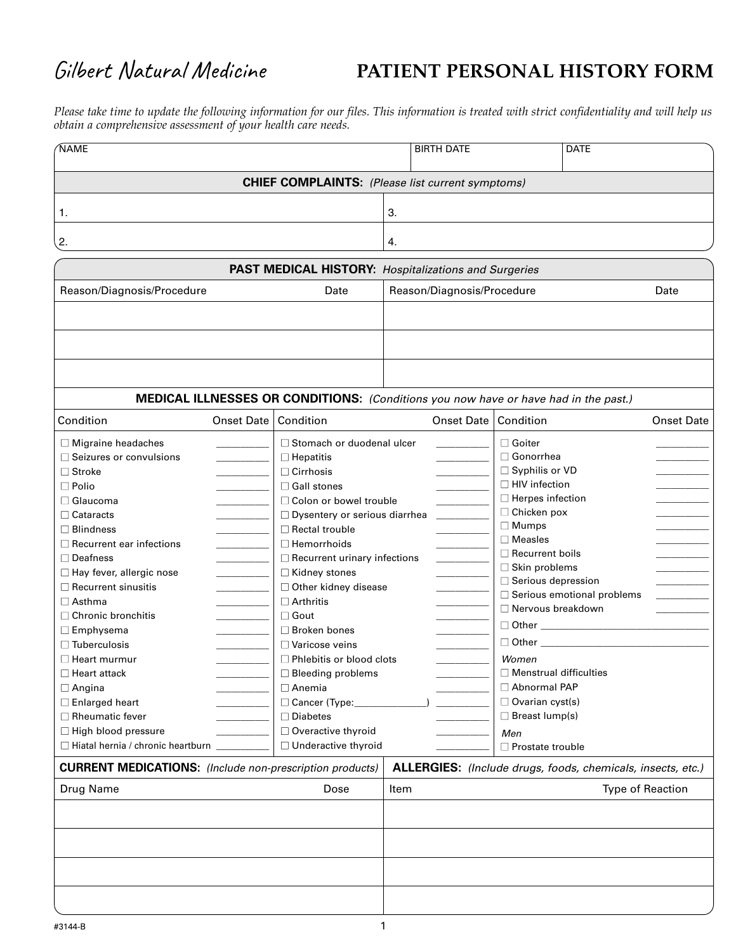## Gilbert Natural Medicine

## **PATIENT PERSONAL HISTORY FORM**

*Please take time to update the following information for our files. This information is treated with strict confidentiality and will help us obtain a comprehensive assessment of your health care needs.*

| <b>NAME</b>                                                     | <b>BIRTH DATE</b> |                                                                                     | <b>DATE</b>                                                 |                         |                                |                   |
|-----------------------------------------------------------------|-------------------|-------------------------------------------------------------------------------------|-------------------------------------------------------------|-------------------------|--------------------------------|-------------------|
|                                                                 |                   | <b>CHIEF COMPLAINTS:</b> (Please list current symptoms)                             |                                                             |                         |                                |                   |
| 1.                                                              |                   |                                                                                     | 3.                                                          |                         |                                |                   |
| 2.                                                              |                   |                                                                                     | 4.                                                          |                         |                                |                   |
|                                                                 |                   | <b>PAST MEDICAL HISTORY: Hospitalizations and Surgeries</b>                         |                                                             |                         |                                |                   |
| Reason/Diagnosis/Procedure                                      |                   | Date                                                                                | Reason/Diagnosis/Procedure<br>Date                          |                         |                                |                   |
|                                                                 |                   |                                                                                     |                                                             |                         |                                |                   |
|                                                                 |                   |                                                                                     |                                                             |                         |                                |                   |
|                                                                 |                   |                                                                                     |                                                             |                         |                                |                   |
|                                                                 |                   |                                                                                     |                                                             |                         |                                |                   |
|                                                                 |                   | MEDICAL ILLNESSES OR CONDITIONS: (Conditions you now have or have had in the past.) |                                                             |                         |                                |                   |
| Condition                                                       | Onset Date        | Condition                                                                           | <b>Onset Date</b>                                           | Condition               |                                | <b>Onset Date</b> |
| $\Box$ Migraine headaches                                       |                   | □ Stomach or duodenal ulcer                                                         |                                                             | $\Box$ Goiter           |                                |                   |
| □ Seizures or convulsions                                       |                   | $\Box$ Hepatitis                                                                    |                                                             | □ Gonorrhea             |                                |                   |
| $\Box$ Stroke                                                   |                   | $\Box$ Cirrhosis                                                                    |                                                             | □ Syphilis or VD        |                                |                   |
| $\Box$ Polio                                                    |                   | □ Gall stones                                                                       |                                                             | $\Box$ HIV infection    |                                |                   |
| $\Box$ Glaucoma                                                 |                   |                                                                                     | □ Colon or bowel trouble                                    |                         | □ Herpes infection             |                   |
| $\Box$ Cataracts                                                |                   | □ Dysentery or serious diarrhea                                                     |                                                             | □ Chicken pox           |                                |                   |
| $\Box$ Blindness                                                |                   | □ Rectal trouble                                                                    |                                                             | $\Box$ Mumps            |                                |                   |
| $\Box$ Recurrent ear infections                                 |                   | $\Box$ Hemorrhoids                                                                  |                                                             | $\square$ Measles       |                                |                   |
| $\Box$ Deafness                                                 |                   | $\Box$ Recurrent urinary infections                                                 |                                                             | $\Box$ Recurrent boils  |                                |                   |
| □ Hay fever, allergic nose                                      |                   | □ Kidney stones                                                                     |                                                             | □ Skin problems         |                                |                   |
| $\Box$ Recurrent sinusitis                                      |                   | □ Other kidney disease                                                              |                                                             | □ Serious depression    | □ Serious emotional problems   |                   |
| $\Box$ Asthma                                                   |                   | $\Box$ Arthritis                                                                    |                                                             | □ Nervous breakdown     |                                |                   |
| $\Box$ Chronic bronchitis                                       |                   | $\Box$ Gout                                                                         |                                                             |                         |                                |                   |
| $\Box$ Emphysema                                                |                   | $\Box$ Broken bones                                                                 |                                                             |                         |                                |                   |
| $\Box$ Tuberculosis                                             |                   | $\Box$ Varicose veins                                                               |                                                             |                         | □ Other ______________________ |                   |
| □ Phlebitis or blood clots<br>$\square$ Heart murmur            |                   |                                                                                     | Women                                                       |                         |                                |                   |
| $\Box$ Heart attack<br>$\Box$ Bleeding problems                 |                   | $\Box$ Menstrual difficulties                                                       |                                                             |                         |                                |                   |
| $\Box$ Angina                                                   | $\Box$ Anemia     |                                                                                     | □ Abnormal PAP                                              |                         |                                |                   |
| $\Box$ Enlarged heart                                           |                   | Cancer (Type:                                                                       |                                                             | □ Ovarian cyst(s)       |                                |                   |
| $\Box$ Rheumatic fever                                          |                   | $\Box$ Diabetes                                                                     |                                                             | $\Box$ Breast lump(s)   |                                |                   |
| □ High blood pressure                                           |                   | □ Overactive thyroid                                                                |                                                             | Men                     |                                |                   |
| $\Box$ Hiatal hernia / chronic heartburn                        |                   | □ Underactive thyroid                                                               |                                                             | $\Box$ Prostate trouble |                                |                   |
| <b>CURRENT MEDICATIONS:</b> (Include non-prescription products) |                   |                                                                                     | ALLERGIES: (Include drugs, foods, chemicals, insects, etc.) |                         |                                |                   |
| Drug Name                                                       |                   | Dose                                                                                | Item                                                        |                         | <b>Type of Reaction</b>        |                   |
|                                                                 |                   |                                                                                     |                                                             |                         |                                |                   |
|                                                                 |                   |                                                                                     |                                                             |                         |                                |                   |
|                                                                 |                   |                                                                                     |                                                             |                         |                                |                   |
|                                                                 |                   |                                                                                     |                                                             |                         |                                |                   |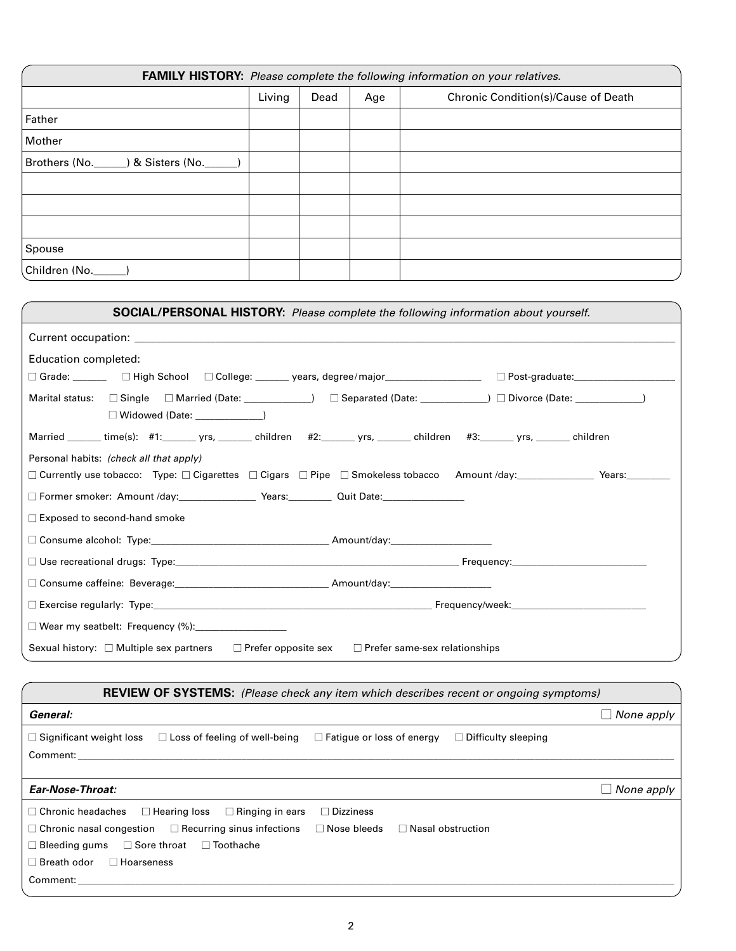| FAMILY HISTORY: Please complete the following information on your relatives. |        |      |     |                                     |
|------------------------------------------------------------------------------|--------|------|-----|-------------------------------------|
|                                                                              | Living | Dead | Age | Chronic Condition(s)/Cause of Death |
| Father                                                                       |        |      |     |                                     |
| Mother                                                                       |        |      |     |                                     |
| Brothers (No. _____) & Sisters (No. _____                                    |        |      |     |                                     |
|                                                                              |        |      |     |                                     |
|                                                                              |        |      |     |                                     |
|                                                                              |        |      |     |                                     |
| Spouse                                                                       |        |      |     |                                     |
| Children (No._                                                               |        |      |     |                                     |

| <b>SOCIAL/PERSONAL HISTORY:</b> Please complete the following information about yourself.                                                                                                                                              |  |  |  |  |
|----------------------------------------------------------------------------------------------------------------------------------------------------------------------------------------------------------------------------------------|--|--|--|--|
|                                                                                                                                                                                                                                        |  |  |  |  |
| Education completed:                                                                                                                                                                                                                   |  |  |  |  |
| □ Grade: _______  □ High School  □ College: ______ years, degree/major__________________  □ Post-graduate:_____________________________                                                                                                |  |  |  |  |
| Marital status: □ Single □ Married (Date: ____________) □ Separated (Date: ____________) □ Divorce (Date: _____________)<br>$\Box$ Widowed (Date: $\Box$                                                                               |  |  |  |  |
| Married ______ time(s): #1:______ yrs, ______ children   #2:______ yrs, ______ children   #3:______ yrs, ______ children                                                                                                               |  |  |  |  |
| Personal habits: (check all that apply)                                                                                                                                                                                                |  |  |  |  |
| $\Box$ Currently use tobacco: Type: $\Box$ Cigarettes $\Box$ Cigars $\Box$ Pipe $\Box$ Smokeless tobacco Amount /day: Years: Years:                                                                                                    |  |  |  |  |
|                                                                                                                                                                                                                                        |  |  |  |  |
| $\Box$ Exposed to second-hand smoke                                                                                                                                                                                                    |  |  |  |  |
|                                                                                                                                                                                                                                        |  |  |  |  |
| $\square$ Use recreational drugs: Type: $\square$ is a set of the set of the set of the set of the set of the set of the set of the set of the set of the set of the set of the set of the set of the set of the set of the set of the |  |  |  |  |
| □ Consume caffeine: Beverage: ___________________________________Amount/day:___________________________________                                                                                                                        |  |  |  |  |
|                                                                                                                                                                                                                                        |  |  |  |  |
| $\Box$ Wear my seatbelt: Frequency (%):                                                                                                                                                                                                |  |  |  |  |
| Sexual history: $\Box$ Multiple sex partners<br>$\Box$ Prefer opposite sex $\Box$ Prefer same-sex relationships                                                                                                                        |  |  |  |  |

| <b>REVIEW OF SYSTEMS:</b> (Please check any item which describes recent or ongoing symptoms)                                                                                                                                                                                                                                            |                   |
|-----------------------------------------------------------------------------------------------------------------------------------------------------------------------------------------------------------------------------------------------------------------------------------------------------------------------------------------|-------------------|
| General:                                                                                                                                                                                                                                                                                                                                | None apply        |
| $\Box$ Significant weight loss<br>$\Box$ Loss of feeling of well-being<br>$\Box$ Fatique or loss of energy<br>$\Box$ Difficulty sleeping<br>Comment:                                                                                                                                                                                    |                   |
| Ear-Nose-Throat:                                                                                                                                                                                                                                                                                                                        | $\Box$ None apply |
| $\Box$ Ringing in ears<br>$\Box$ Dizziness<br>$\Box$ Hearing loss<br>$\Box$ Chronic headaches<br>$\Box$ Chronic nasal congestion $\Box$ Recurring sinus infections $\Box$ Nose bleeds $\Box$ Nasal obstruction<br>$\Box$ Toothache<br>$\Box$ Sore throat<br>$\Box$ Bleeding gums<br>$\Box$ Breath odor<br>$\Box$ Hoarseness<br>Comment: |                   |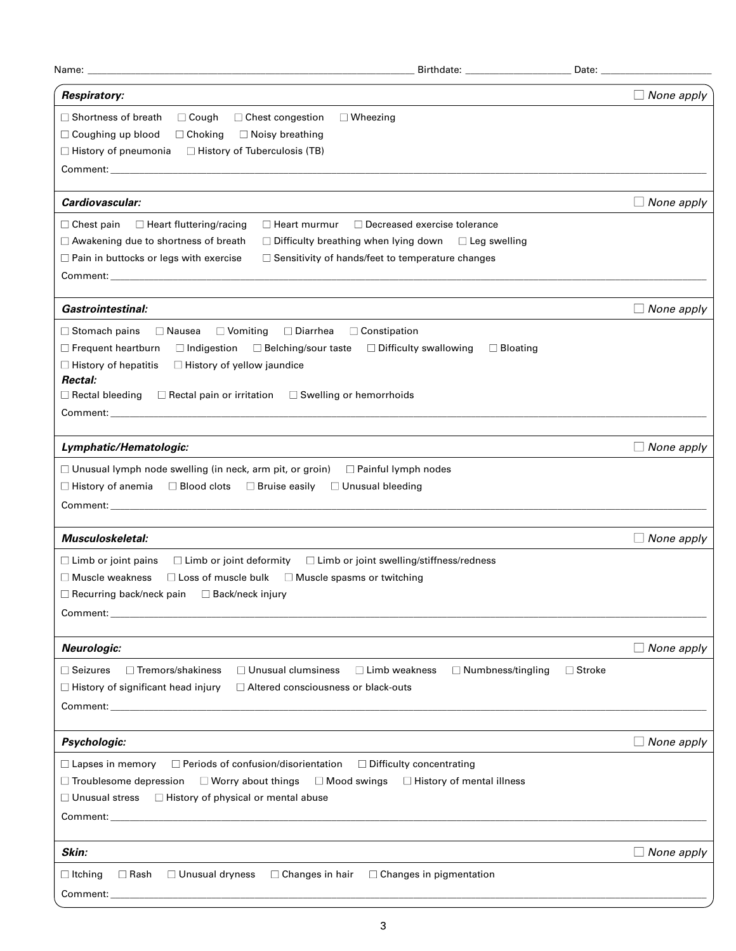| Name:                                                                                                                                                                                                                                                                                                                                                                                                               |                                                                | Date: _           |
|---------------------------------------------------------------------------------------------------------------------------------------------------------------------------------------------------------------------------------------------------------------------------------------------------------------------------------------------------------------------------------------------------------------------|----------------------------------------------------------------|-------------------|
| <b>Respiratory:</b>                                                                                                                                                                                                                                                                                                                                                                                                 |                                                                | $\Box$ None apply |
| $\Box$ Shortness of breath<br>$\Box$ Cough<br>$\Box$ Wheezing<br>$\Box$ Chest congestion<br>□ Coughing up blood<br>$\Box$ Choking<br>$\Box$ Noisy breathing<br>□ History of Tuberculosis (TB)<br>$\Box$ History of pneumonia                                                                                                                                                                                        |                                                                |                   |
| Cardiovascular:                                                                                                                                                                                                                                                                                                                                                                                                     |                                                                | $\Box$ None apply |
| $\Box$ Chest pain<br>$\Box$ Heart fluttering/racing<br>$\Box$ Heart murmur<br>□ Awakening due to shortness of breath<br>$\Box$ Difficulty breathing when lying down $\Box$ Leg swelling<br>$\Box$ Pain in buttocks or legs with exercise<br>$\Box$ Sensitivity of hands/feet to temperature changes                                                                                                                 | $\Box$ Decreased exercise tolerance                            |                   |
| <b>Gastrointestinal:</b>                                                                                                                                                                                                                                                                                                                                                                                            |                                                                | $\Box$ None apply |
| $\Box$ Nausea<br>$\Box$ Diarrhea<br>$\Box$ Constipation<br>$\Box$ Stomach pains<br>$\Box$ Vomiting<br>$\Box$ Frequent heartburn<br>$\Box$ Indigestion<br>□ Belching/sour taste<br>$\Box$ History of hepatitis<br>$\Box$ History of yellow jaundice<br>Rectal:<br>$\Box$ Rectal pain or irritation<br>$\Box$ Swelling or hemorrhoids<br>$\Box$ Rectal bleeding                                                       | $\Box$ Difficulty swallowing<br>$\Box$ Bloating                |                   |
| Lymphatic/Hematologic:                                                                                                                                                                                                                                                                                                                                                                                              |                                                                | $\Box$ None apply |
| $\Box$ Unusual lymph node swelling (in neck, arm pit, or groin)<br>□ Painful lymph nodes<br>$\Box$ Blood clots<br>$\Box$ Bruise easily<br>□ Unusual bleeding<br>$\Box$ History of anemia                                                                                                                                                                                                                            |                                                                |                   |
| Musculoskeletal:                                                                                                                                                                                                                                                                                                                                                                                                    |                                                                | $\Box$ None apply |
| □ Limb or joint swelling/stiffness/redness<br>$\Box$ Limb or joint pains<br>$\Box$ Limb or joint deformity<br>$\Box$ Muscle weakness<br>$\square$ Loss of muscle bulk<br>$\Box$ Muscle spasms or twitching<br>$\Box$ Recurring back/neck pain $\Box$ Back/neck injury                                                                                                                                               |                                                                |                   |
| <b>Neurologic:</b>                                                                                                                                                                                                                                                                                                                                                                                                  |                                                                | $\Box$ None apply |
| □ Tremors/shakiness<br>$\Box$ Seizures<br>$\Box$ Unusual clumsiness<br>$\Box$ Limb weakness<br>$\Box$ History of significant head injury<br>□ Altered consciousness or black-outs<br>Comment: with the comment of the comment of the comment of the comment of the comment of the comment of the comment of the comment of the comment of the comment of the comment of the comment of the comment of the comment o | $\Box$ Numbness/tingling                                       | $\Box$ Stroke     |
| Psychologic:                                                                                                                                                                                                                                                                                                                                                                                                        |                                                                | $\Box$ None apply |
| $\Box$ Periods of confusion/disorientation<br>$\Box$ Lapses in memory<br>$\Box$ Troublesome depression<br>$\Box$ Worry about things<br>$\Box$ Mood swings<br>$\Box$ Unusual stress $\Box$ History of physical or mental abuse                                                                                                                                                                                       | □ Difficulty concentrating<br>$\Box$ History of mental illness |                   |
| Skin:                                                                                                                                                                                                                                                                                                                                                                                                               |                                                                | $\Box$ None apply |
| $\Box$ Unusual dryness<br>$\Box$ Changes in hair<br>$\Box$ Itching<br>$\Box$ Rash                                                                                                                                                                                                                                                                                                                                   | $\Box$ Changes in pigmentation                                 |                   |